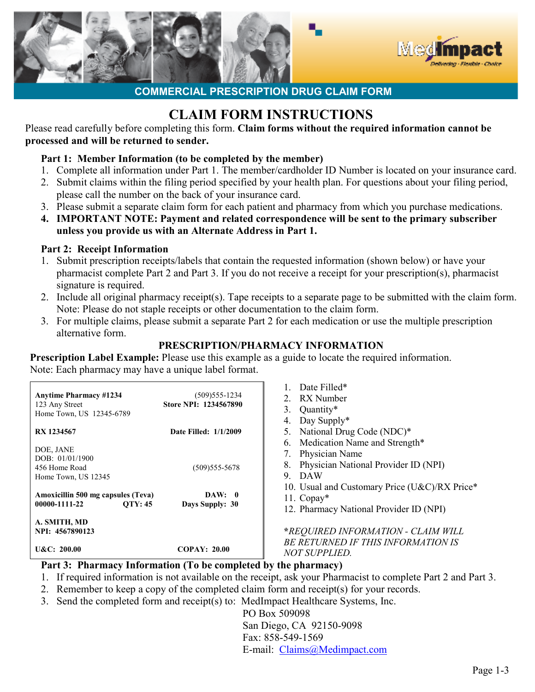

## **COMMERCIAL PRESCRIPTION DRUG CLAIM FORM**

# **CLAIM FORM INSTRUCTIONS**

Please read carefully before completing this form. **Claim forms without the required information cannot be processed and will be returned to sender.**  l

## **Part 1: Member Information (to be completed by the member)**

- 1. Complete all information under Part 1. The member/cardholder ID Number is located on your insurance card.
- 2. Submit claims within the filing period specified by your health plan. For questions about your filing period, please call the number on the back of your insurance card.
- 3. Please submit a separate claim form for each patient and pharmacy from which you purchase medications.
- **4. IMPORTANT NOTE: Payment and related correspondence will be sent to the primary subscriber unless you provide us with an Alternate Address in Part 1.**

### **Part 2: Receipt Information**

- 1. Submit prescription receipts/labels that contain the requested information (shown below) or have your pharmacist complete Part 2 and Part 3. If you do not receive a receipt for your prescription(s), pharmacist signature is required.
- 2. Include all original pharmacy receipt(s). Tape receipts to a separate page to be submitted with the claim form. Note: Please do not staple receipts or other documentation to the claim form.
- 3. For multiple claims, please submit a separate Part 2 for each medication or use the multiple prescription alternative form.

## **PRESCRIPTION/PHARMACY INFORMATION**

**Prescription Label Example:** Please use this example as a guide to locate the required information. Note: Each pharmacy may have a unique label format.

| <b>Anytime Pharmacy #1234</b><br>123 Any Street<br>Home Town, US 12345-6789 | (509)555-1234<br>Store NPI: 1234567890 | Date Filled*<br>2. RX Number<br>3.<br>Quantity*<br>Day Supply*<br>4.                                    |  |  |  |
|-----------------------------------------------------------------------------|----------------------------------------|---------------------------------------------------------------------------------------------------------|--|--|--|
| <b>RX 1234567</b>                                                           | Date Filled: 1/1/2009                  | National Drug Code (NDC)*<br>5.<br>6. Medication Name and Strength*                                     |  |  |  |
| DOE, JANE                                                                   |                                        | 7. Physician Name                                                                                       |  |  |  |
| DOB: 01/01/1900<br>456 Home Road<br>Home Town, US 12345                     | $(509)$ 555-5678                       | Physician National Provider ID (NPI)<br>8.<br>9.<br>DAW                                                 |  |  |  |
| Amoxicillin 500 mg capsules (Teva)<br>00000-1111-22<br><b>OTY: 45</b>       | $\bf{DAW:} \quad 0$<br>Days Supply: 30 | 10. Usual and Customary Price (U&C)/RX Price*<br>11. $Copy*$<br>12. Pharmacy National Provider ID (NPI) |  |  |  |
| A. SMITH, MD<br>NPI: 4567890123                                             |                                        | *REQUIRED INFORMATION - CLAIM WILL                                                                      |  |  |  |
| U&C: 200.00                                                                 | <b>COPAY: 20.00</b>                    | <b>BE RETURNED IF THIS INFORMATION IS</b><br><i>NOT SUPPLIED.</i>                                       |  |  |  |

### **Part 3: Pharmacy Information (To be completed by the pharmacy)**

- 1. If required information is not available on the receipt, ask your Pharmacist to complete Part 2 and Part 3.
- 2. Remember to keep a copy of the completed claim form and receipt(s) for your records.
- 3. Send the completed form and receipt(s) to: MedImpact Healthcare Systems, Inc.

 PO Box 509098 San Diego, CA 92150-9098 Fax: 858-549-1569 E-mail: Claims@Medimpact.com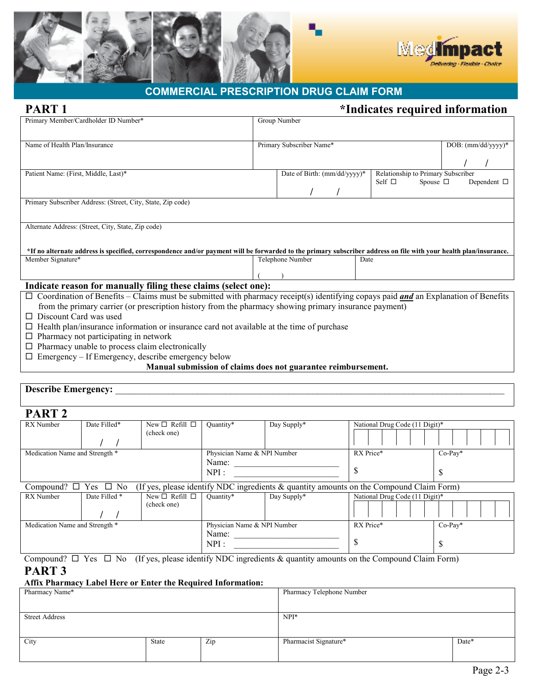## **COMMERCIAL PRESCRIPTION DRUG CLAIM FORM**

Medim

| PART <sub>1</sub>                                                                                                                                                                                                                                    |                          |                              |      | <i>*Indicates required information</i>            |                      |                     |
|------------------------------------------------------------------------------------------------------------------------------------------------------------------------------------------------------------------------------------------------------|--------------------------|------------------------------|------|---------------------------------------------------|----------------------|---------------------|
| Primary Member/Cardholder ID Number*                                                                                                                                                                                                                 |                          | Group Number                 |      |                                                   |                      |                     |
| Name of Health Plan/Insurance                                                                                                                                                                                                                        | Primary Subscriber Name* |                              |      |                                                   | DOB: $(mm/dd/yyyy)*$ |                     |
|                                                                                                                                                                                                                                                      |                          |                              |      |                                                   |                      |                     |
| Patient Name: (First, Middle, Last)*                                                                                                                                                                                                                 |                          | Date of Birth: (mm/dd/yyyy)* |      | Relationship to Primary Subscriber<br>Self $\Box$ | Spouse $\Box$        | Dependent $\square$ |
| Primary Subscriber Address: (Street, City, State, Zip code)                                                                                                                                                                                          |                          |                              |      |                                                   |                      |                     |
| Alternate Address: (Street, City, State, Zip code)                                                                                                                                                                                                   |                          |                              |      |                                                   |                      |                     |
| *If no alternate address is specified, correspondence and/or payment will be forwarded to the primary subscriber address on file with your health plan/insurance.                                                                                    |                          |                              |      |                                                   |                      |                     |
| Member Signature*                                                                                                                                                                                                                                    |                          | Telephone Number             | Date |                                                   |                      |                     |
|                                                                                                                                                                                                                                                      |                          |                              |      |                                                   |                      |                     |
| Indicate reason for manually filing these claims (select one):                                                                                                                                                                                       |                          |                              |      |                                                   |                      |                     |
| $\Box$ Coordination of Benefits – Claims must be submitted with pharmacy receipt(s) identifying copays paid and an Explanation of Benefits<br>from the primary carrier (or prescription history from the pharmacy showing primary insurance payment) |                          |                              |      |                                                   |                      |                     |
| $\Box$ Discount Card was used                                                                                                                                                                                                                        |                          |                              |      |                                                   |                      |                     |
| $\Box$ Health plan/insurance information or insurance card not available at the time of purchase                                                                                                                                                     |                          |                              |      |                                                   |                      |                     |
| $\Box$ Pharmacy not participating in network                                                                                                                                                                                                         |                          |                              |      |                                                   |                      |                     |
| $\Box$ Pharmacy unable to process claim electronically                                                                                                                                                                                               |                          |                              |      |                                                   |                      |                     |
| $\Box$ Emergency – If Emergency, describe emergency below                                                                                                                                                                                            |                          |                              |      |                                                   |                      |                     |

 $\Box$  Emergency – If Emergency, describe emergency below

#### **Manual submission of claims does not guarantee reimbursement.**

## Describe Emergency:

#### **PART 2**

| RX Number                                                                                                                    | Date Filled*  | New $\Box$ Refill $\Box$    | Day Supply*<br>Quantity*                                   |           | National Drug Code (11 Digit)* |  |  |
|------------------------------------------------------------------------------------------------------------------------------|---------------|-----------------------------|------------------------------------------------------------|-----------|--------------------------------|--|--|
|                                                                                                                              |               | (check one)                 |                                                            |           |                                |  |  |
|                                                                                                                              |               |                             |                                                            |           |                                |  |  |
| Medication Name and Strength *                                                                                               |               | Physician Name & NPI Number |                                                            | RX Price* | $Co-Pav*$                      |  |  |
|                                                                                                                              |               | Name:                       |                                                            |           |                                |  |  |
| NPI:                                                                                                                         |               |                             | P                                                          |           |                                |  |  |
|                                                                                                                              |               |                             |                                                            |           |                                |  |  |
| Compound? $\Box$ Yes $\Box$ No<br>(If yes, please identify NDC ingredients $\&$ quantity amounts on the Compound Claim Form) |               |                             |                                                            |           |                                |  |  |
| RX Number                                                                                                                    | Date Filled * | New $\Box$ Refill $\Box$    | National Drug Code (11 Digit)*<br>Day Supply*<br>Ouantity* |           |                                |  |  |
|                                                                                                                              |               | (check one)                 |                                                            |           |                                |  |  |
|                                                                                                                              |               |                             |                                                            |           |                                |  |  |
| Medication Name and Strength *                                                                                               |               | Physician Name & NPI Number |                                                            | RX Price* | $Co-Pav*$                      |  |  |
|                                                                                                                              |               | Name:                       |                                                            |           |                                |  |  |
|                                                                                                                              |               | NPI:                        |                                                            | Φ<br>D    | ۰D                             |  |  |
|                                                                                                                              |               |                             |                                                            |           |                                |  |  |

Compound?  $\Box$  Yes  $\Box$  No (If yes, please identify NDC ingredients & quantity amounts on the Compound Claim Form) **PART 3** 

### **Affix Pharmacy Label Here or Enter the Required Information:**

| Pharmacy Name*        |       |     | Pharmacy Telephone Number |       |  |  |
|-----------------------|-------|-----|---------------------------|-------|--|--|
| <b>Street Address</b> |       |     | $NPI*$                    |       |  |  |
| City                  | State | Zip | Pharmacist Signature*     | Date* |  |  |